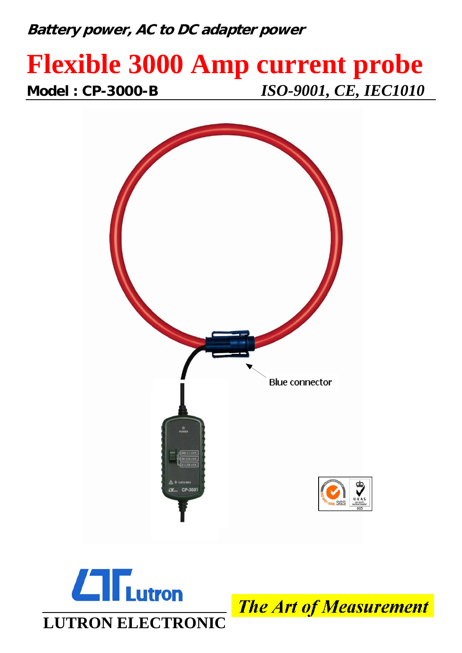## **Battery power, AC to DC adapter power**

# **Flexible 3000 Amp current probe Model : CP-3000-B** *ISO-9001, CE, IEC1010*





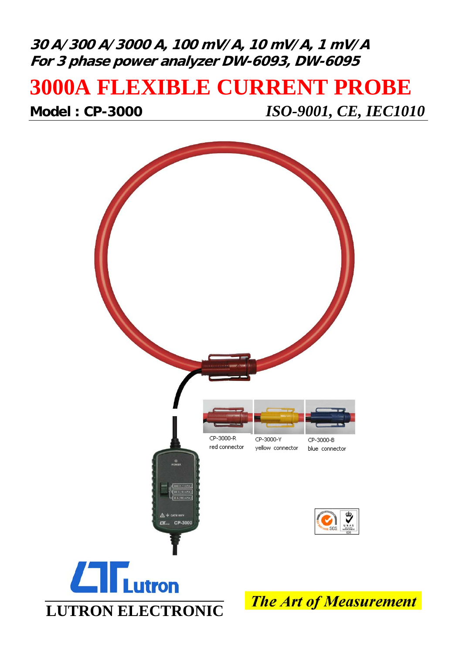### **30 A/300 A/3000 A, 100 mV/A, 10 mV/A, 1 mV/A For 3 phase power analyzer DW-6093, DW-6095**

## **3000A FLEXIBLE CURRENT PROBE**

**Model : CP-3000** *ISO-9001, CE, IEC1010*